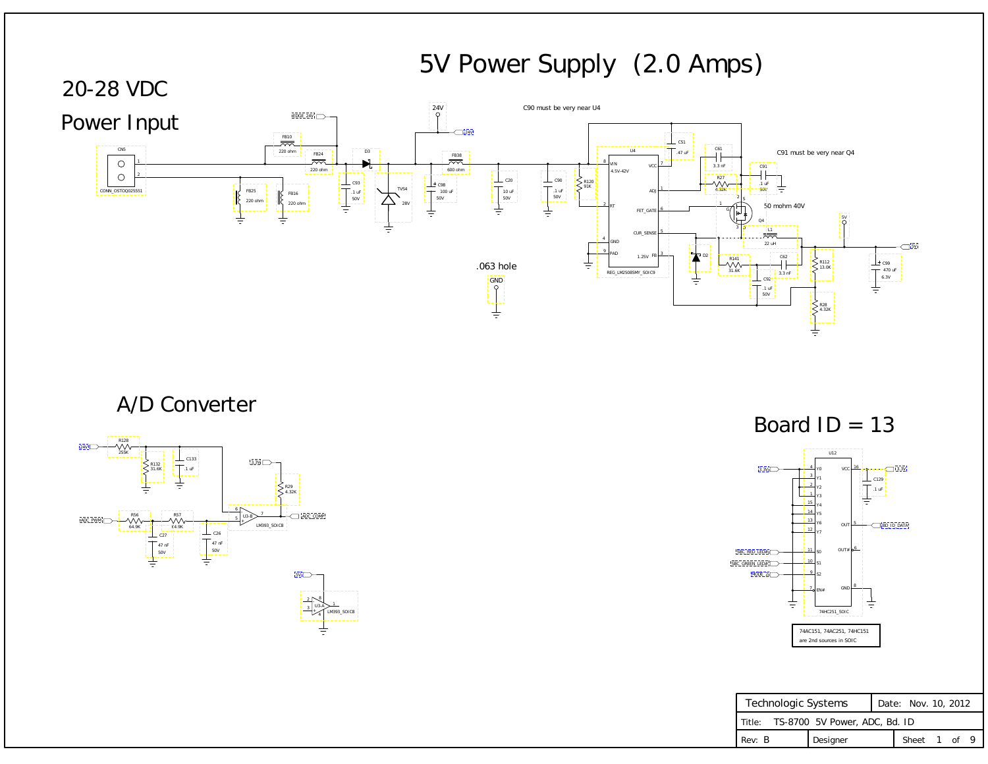| Technologic Systems                  |          |  | Date: Nov. 10, 2012 |  |  |
|--------------------------------------|----------|--|---------------------|--|--|
| Title: TS-8700 5V Power, ADC, Bd. ID |          |  |                     |  |  |
| Rev: B                               | Designer |  | Sheet 1 of 9        |  |  |

# 5V Power Supply (2.0 Amps)

A/D Converter

<span id="page-0-0"></span>







Board  $ID = 13$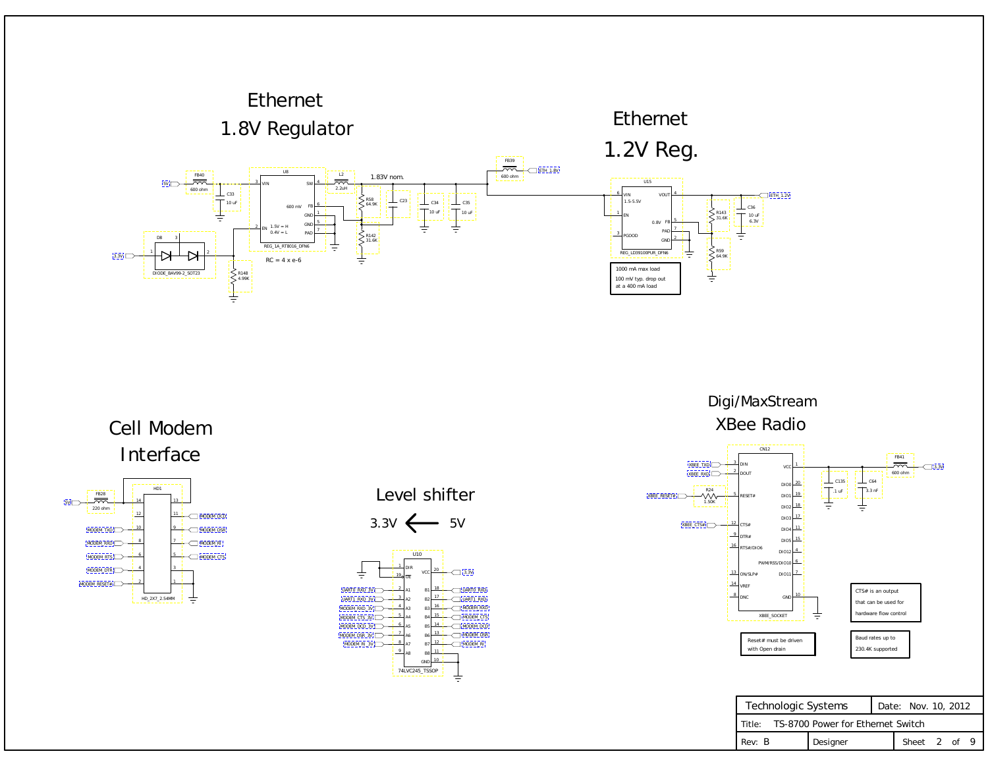#### 1.8V Regulator Ethernet

## 1.2V Reg. Ethernet

#### XBee Radio Digi/MaxStream

### Cell Modem Interface







<span id="page-1-0"></span>

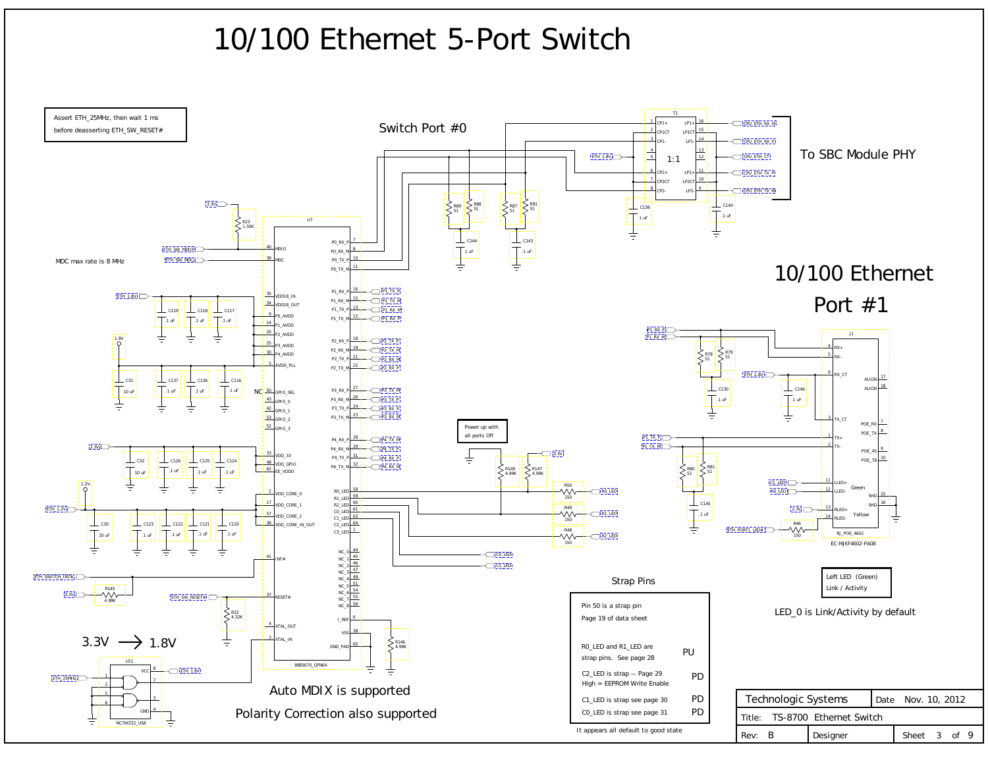# 10/100 Ethernet 5-Port Switch

<span id="page-2-0"></span>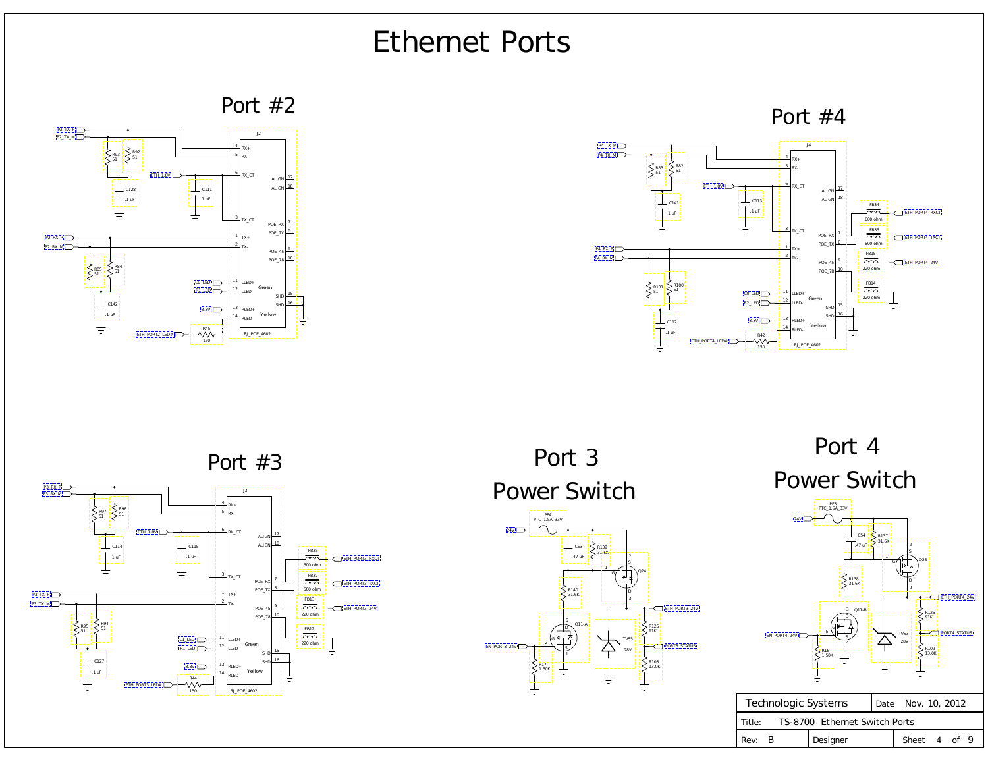| Technologic Systems                     |  |                   |  | Date Nov. 10, 2012 |  |  |  |
|-----------------------------------------|--|-------------------|--|--------------------|--|--|--|
| TS-8700 Ethernet Switch Ports<br>Title: |  |                   |  |                    |  |  |  |
| Rev: B                                  |  | <b>I</b> Designer |  | Sheet 4 of 9       |  |  |  |

## Ethernet Ports

Port #2



Port #4

Power Switch Port 4

Power Switch Port 3 PF4

 $\begin{pmatrix} | & | & | \\ | & | & | \\ | & | & | \end{pmatrix}$ S D 1 2 3 Q23 TVS3 28V R137 31.6K C54 .47 uF R138 31.6K PF3 PTC\_1.5A\_33V G S D 5 3 4 Q11-B R109 13.0K R125 91K R16 1.50K  $24V$ ETH\_PORT4\_24V [EN\\_PORT4\\_24V](#page-8-0) [PORT4\\_STATUS](#page-8-0)







<span id="page-3-0"></span>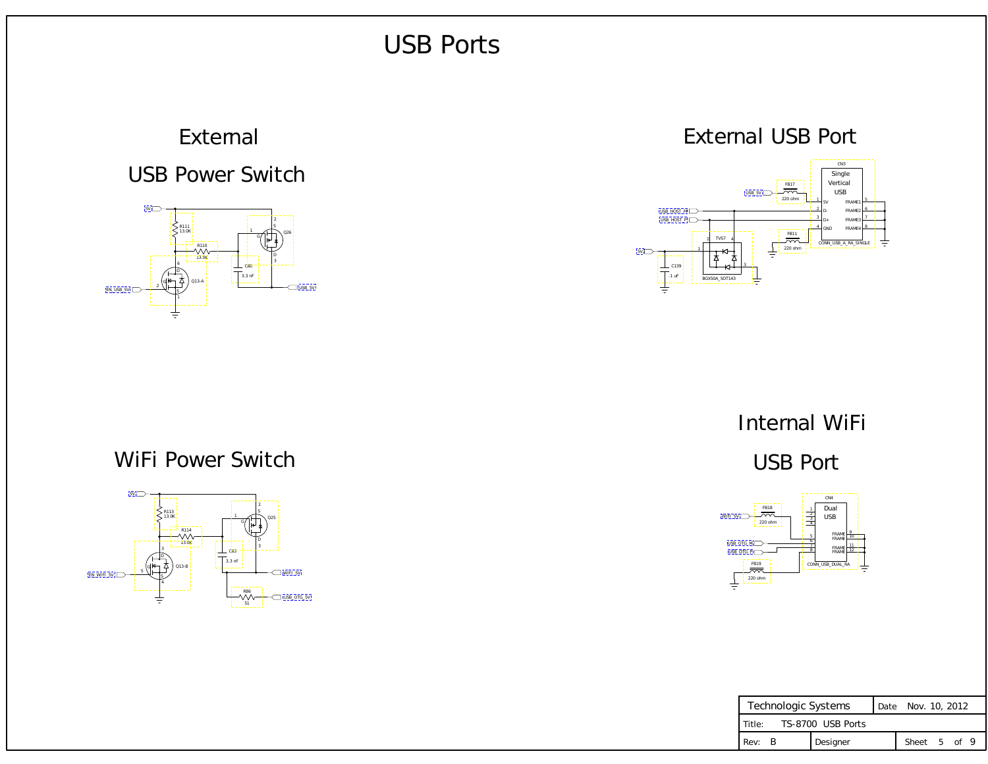| Technologic Systems           |          |  | Date Nov. 10, 2012 |  |  |
|-------------------------------|----------|--|--------------------|--|--|
| TS-8700 USB Ports<br>l Title: |          |  |                    |  |  |
| Rev: B                        | Designer |  | Sheet 5 of 9       |  |  |

#### USB Port

### Internal WiFi

## <span id="page-4-0"></span>USB Power Switch External

#### WiFi Power Switch

#### External USB Port

## USB Ports







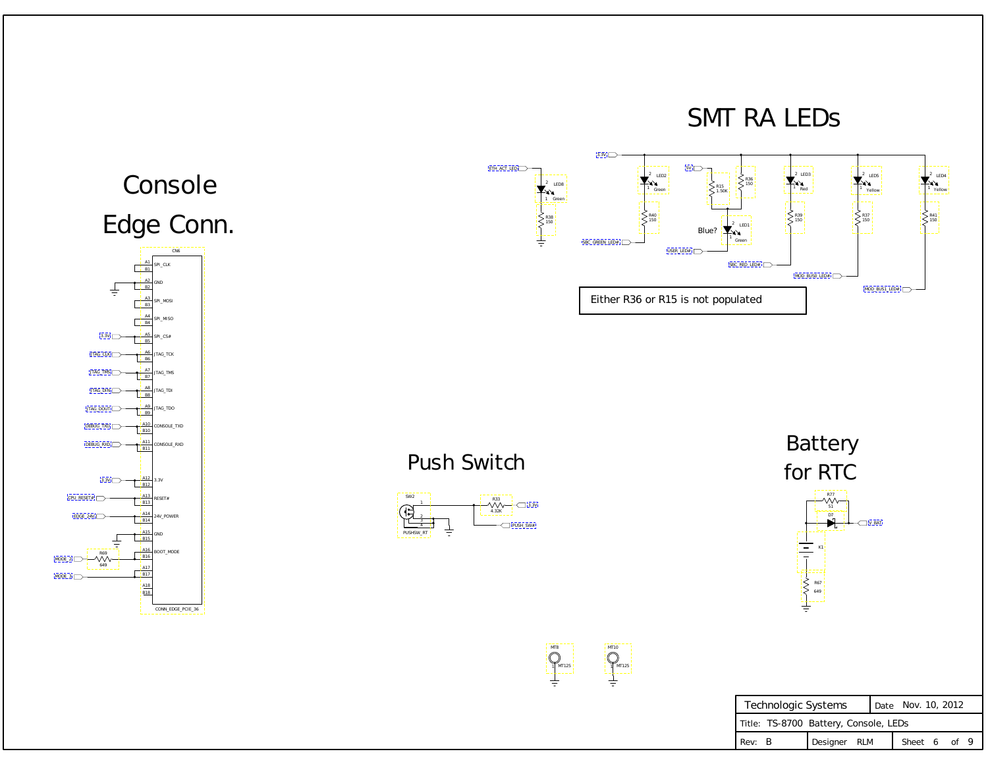| Technologic Systems                   |              | Date Nov. 10, 2012 |              |  |  |  |  |  |
|---------------------------------------|--------------|--------------------|--------------|--|--|--|--|--|
| Title: TS-8700 Battery, Console, LEDs |              |                    |              |  |  |  |  |  |
| Rev: B                                | Designer RLM |                    | Sheet 6 of 9 |  |  |  |  |  |

### Push Switch





649

<span id="page-5-0"></span>

R38 150

 $\frac{1}{\pi}$ 

 $ETH_ACT_LED$ 

CONN\_EDGE\_PCIE\_36



1

MT8

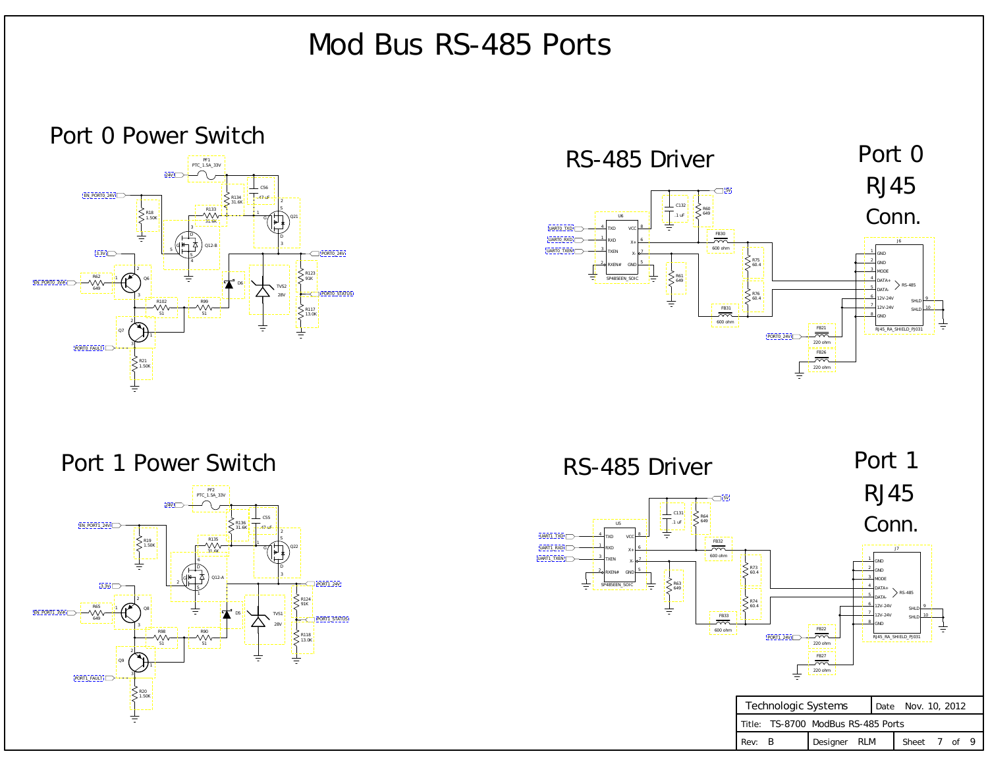| Technologic Systems |  |                                    |  | Date Nov. 10, 2012 |  |  |  |
|---------------------|--|------------------------------------|--|--------------------|--|--|--|
|                     |  | Title: TS-8700 ModBus RS-485 Ports |  |                    |  |  |  |
| Rev: B              |  | Designer RLM                       |  | Sheet 7 of 9       |  |  |  |

# Mod Bus RS-485 Ports

### <span id="page-6-0"></span>Port 0 Power Switch









[UART0\\_TXEN](#page-8-0)

[UART1\\_TXEN](#page-8-0) UART<sub>1</sub> T [UART1\\_RXD](#page-1-0)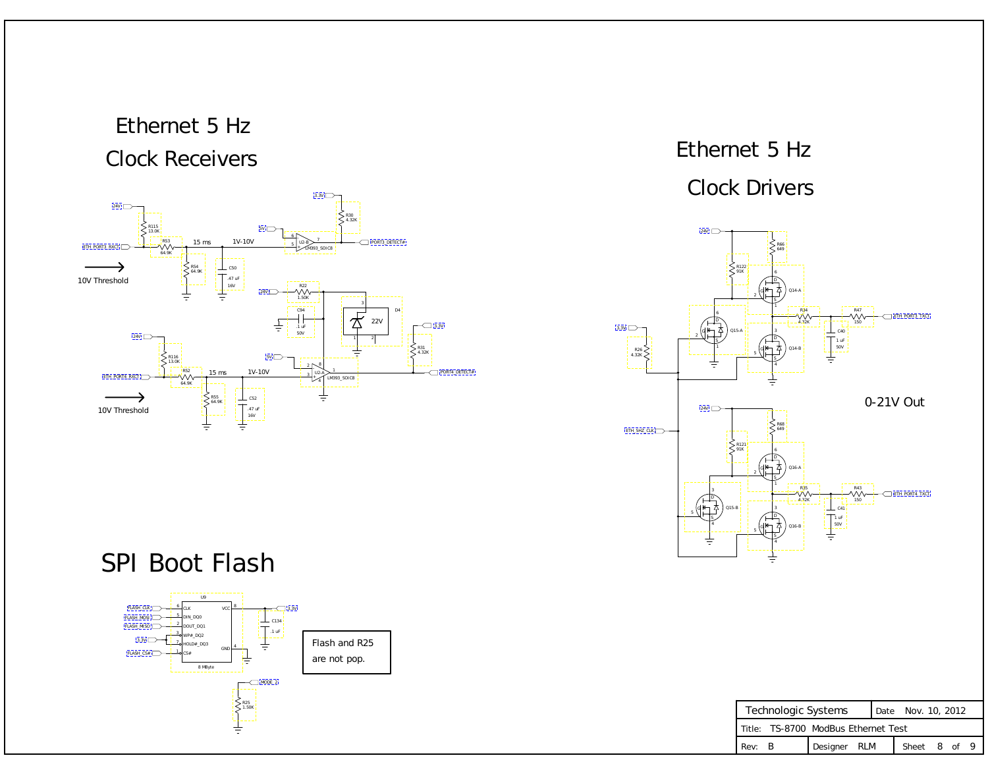| Technologic Systems |  |                                     |  | Date Nov. 10, 2012 |              |  |  |  |  |
|---------------------|--|-------------------------------------|--|--------------------|--------------|--|--|--|--|
|                     |  | Title: TS-8700 ModBus Ethernet Test |  |                    |              |  |  |  |  |
| Rev: B              |  | Designer RLM                        |  |                    | Sheet 8 of 9 |  |  |  |  |

## Ethernet 5 Hz Clock Drivers

## <span id="page-7-0"></span>Ethernet 5 Hz Clock Receivers